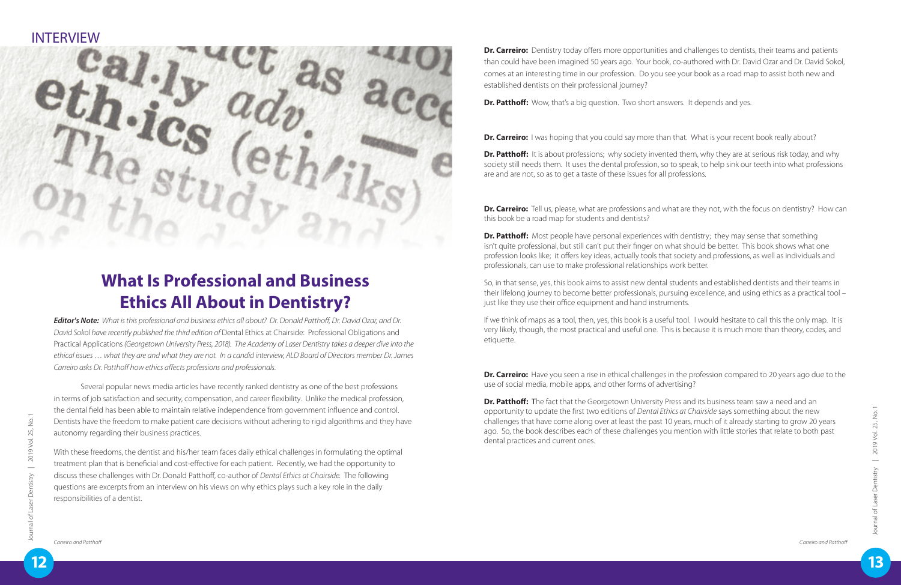## INTERVIEW



## **What Is Professional and Business Ethics All About in Dentistry?**

*Editor's Note: What is this professional and business ethics all about? Dr. Donald Patthoff, Dr. David Ozar, and Dr. David Sokol have recently published the third edition of* Dental Ethics at Chairside: Professional Obligations and Practical Applications *(Georgetown University Press, 2018). The Academy of Laser Dentistry takes a deeper dive into the ethical issues … what they are and what they are not. In a candid interview, ALD Board of Directors member Dr. James Carreiro asks Dr. Patthoff how ethics affects professions and professionals.*

Several popular news media articles have recently ranked dentistry as one of the best professions in terms of job satisfaction and security, compensation, and career flexibility. Unlike the medical profession, the dental field has been able to maintain relative independence from government influence and control. Dentists have the freedom to make patient care decisions without adhering to rigid algorithms and they have autonomy regarding their business practices.

**Dr. Carreiro:** Dentistry today offers more opportunities and challenges to dentists, their teams and patients than could have been imagined 50 years ago. Your book, co-authored with Dr. David Ozar and Dr. David Sokol, comes at an interesting time in our profession. Do you see your book as a road map to assist both new and established dentists on their professional journey?

**Dr. Patthoff:** Wow, that's a big question. Two short answers. It depends and yes.

**Dr. Carreiro:** I was hoping that you could say more than that. What is your recent book really about?

**Dr. Patthoff:** It is about professions; why society invented them, why they are at serious risk today, and why society still needs them. It uses the dental profession, so to speak, to help sink our teeth into what professions are and are not, so as to get a taste of these issues for all professions.

**Dr. Carreiro:** Tell us, please, what are professions and what are they not, with the focus on dentistry? How can this book be a road map for students and dentists?

With these freedoms, the dentist and his/her team faces daily ethical challenges in formulating the optimal treatment plan that is beneficial and cost-effective for each patient. Recently, we had the opportunity to discuss these challenges with Dr. Donald Patthoff, co-author of *Dental Ethics at Chairside.* The following questions are excerpts from an interview on his views on why ethics plays such a key role in the daily responsibilities of a dentist.

**Dr. Patthoff:** Most people have personal experiences with dentistry; they may sense that something isn't quite professional, but still can't put their finger on what should be better. This book shows what one profession looks like; it offers key ideas, actually tools that society and professions, as well as individuals and professionals, can use to make professional relationships work better.

**Dr. Carreiro:** Have you seen a rise in ethical challenges in the profession compared to 20 years ago due to the use of social media, mobile apps, and other forms of advertising?

**Dr. Patthoff:** The fact that the Georgetown University Press and its business team saw a need and an opportunity to update the first two editions of *Dental Ethics at Chairside* says something about the new challenges that have come along over at least the past 10 years, much of it already starting to grow 20 years ago. So, the book describes each of these challenges you mention with little stories that relate to both past dental practices and current ones.

So, in that sense, yes, this book aims to assist new dental students and established dentists and their teams in their lifelong journey to become better professionals, pursuing excellence, and using ethics as a practical tool – just like they use their office equipment and hand instruments.

If we think of maps as a tool, then, yes, this book is a useful tool. I would hesitate to call this the only map. It is very likely, though, the most practical and useful one. This is because it is much more than theory, codes, and etiquette.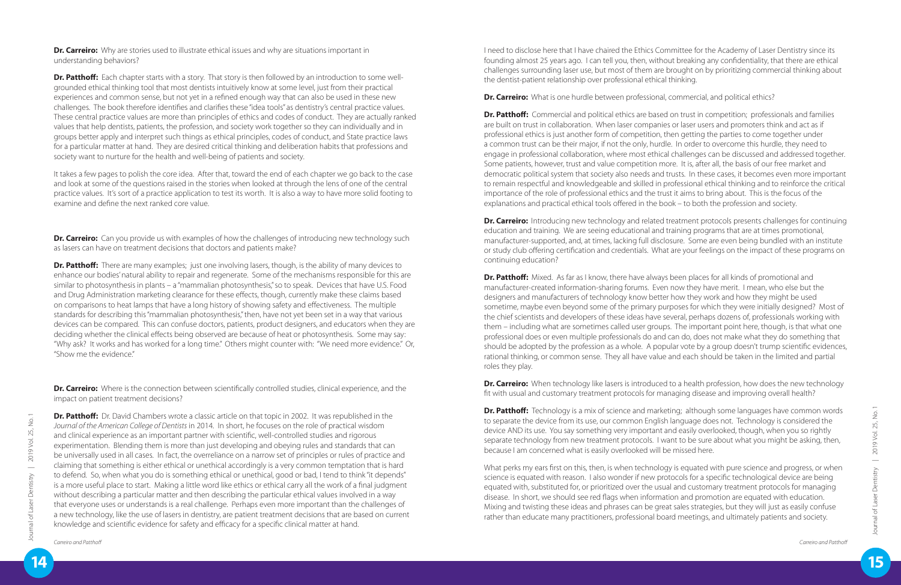**Dr. Carreiro:** Why are stories used to illustrate ethical issues and why are situations important in understanding behaviors?

**Dr. Patthoff:** Each chapter starts with a story. That story is then followed by an introduction to some wellgrounded ethical thinking tool that most dentists intuitively know at some level, just from their practical experiences and common sense, but not yet in a refined enough way that can also be used in these new challenges. The book therefore identifies and clarifies these "idea tools" as dentistry's central practice values. These central practice values are more than principles of ethics and codes of conduct. They are actually ranked values that help dentists, patients, the profession, and society work together so they can individually and in groups better apply and interpret such things as ethical principles, codes of conduct, and State practice laws for a particular matter at hand. They are desired critical thinking and deliberation habits that professions and society want to nurture for the health and well-being of patients and society.

**Dr. Carreiro:** Can you provide us with examples of how the challenges of introducing new technology such as lasers can have on treatment decisions that doctors and patients make?

It takes a few pages to polish the core idea. After that, toward the end of each chapter we go back to the case and look at some of the questions raised in the stories when looked at through the lens of one of the central practice values. It's sort of a practice application to test its worth. It is also a way to have more solid footing to examine and define the next ranked core value.

**Dr. Patthoff:** There are many examples; just one involving lasers, though, is the ability of many devices to enhance our bodies' natural ability to repair and regenerate. Some of the mechanisms responsible for this are similar to photosynthesis in plants – a "mammalian photosynthesis," so to speak. Devices that have U.S. Food and Drug Administration marketing clearance for these effects, though, currently make these claims based on comparisons to heat lamps that have a long history of showing safety and effectiveness. The multiple standards for describing this "mammalian photosynthesis," then, have not yet been set in a way that various devices can be compared. This can confuse doctors, patients, product designers, and educators when they are deciding whether the clinical effects being observed are because of heat or photosynthesis. Some may say: "Why ask? It works and has worked for a long time." Others might counter with: "We need more evidence." Or, "Show me the evidence."

**Dr. Carreiro:** Where is the connection between scientifically controlled studies, clinical experience, and the impact on patient treatment decisions?

**Dr. Patthoff:** Dr. David Chambers wrote a classic article on that topic in 2002. It was republished in the *Journal of the American College of Dentists* in 2014. In short, he focuses on the role of practical wisdom and clinical experience as an important partner with scientific, well-controlled studies and rigorous experimentation. Blending them is more than just developing and obeying rules and standards that can be universally used in all cases. In fact, the overreliance on a narrow set of principles or rules of practice and claiming that something is either ethical or unethical accordingly is a very common temptation that is hard to defend. So, when what you do is something ethical or unethical, good or bad, I tend to think "it depends" is a more useful place to start. Making a little word like ethics or ethical carry all the work of a final judgment without describing a particular matter and then describing the particular ethical values involved in a way that everyone uses or understands is a real challenge. Perhaps even more important than the challenges of a new technology, like the use of lasers in dentistry, are patient treatment decisions that are based on current knowledge and scientific evidence for safety and efficacy for a specific clinical matter at hand.

**Dr. Patthoff:** Commercial and political ethics are based on trust in competition; professionals and families are built on trust in collaboration. When laser companies or laser users and promoters think and act as if professional ethics is just another form of competition, then getting the parties to come together under a common trust can be their major, if not the only, hurdle. In order to overcome this hurdle, they need to engage in professional collaboration, where most ethical challenges can be discussed and addressed together. Some patients, however, trust and value competition more. It is, after all, the basis of our free market and democratic political system that society also needs and trusts. In these cases, it becomes even more important to remain respectful and knowledgeable and skilled in professional ethical thinking and to reinforce the critical importance of the role of professional ethics and the trust it aims to bring about. This is the focus of the explanations and practical ethical tools offered in the book – to both the profession and society.

**Dr. Carreiro:** Introducing new technology and related treatment protocols presents challenges for continuing education and training. We are seeing educational and training programs that are at times promotional, manufacturer-supported, and, at times, lacking full disclosure. Some are even being bundled with an institute or study club offering certification and credentials. What are your feelings on the impact of these programs on continuing education?

**Dr. Patthoff:** Mixed. As far as I know, there have always been places for all kinds of promotional and manufacturer-created information-sharing forums. Even now they have merit. I mean, who else but the designers and manufacturers of technology know better how they work and how they might be used sometime, maybe even beyond some of the primary purposes for which they were initially designed? Most of the chief scientists and developers of these ideas have several, perhaps dozens of, professionals working with them – including what are sometimes called user groups. The important point here, though, is that what one professional does or even multiple professionals do and can do, does not make what they do something that should be adopted by the profession as a whole. A popular vote by a group doesn't trump scientific evidences, rational thinking, or common sense. They all have value and each should be taken in the limited and partial roles they play.

**Dr. Carreiro:** When technology like lasers is introduced to a health profession, how does the new technology fit with usual and customary treatment protocols for managing disease and improving overall health?

**Dr. Patthoff:** Technology is a mix of science and marketing; although some languages have common words to separate the device from its use, our common English language does not. Technology is considered the device AND its use. You say something very important and easily overlooked, though, when you so rightly separate technology from new treatment protocols. I want to be sure about what you might be asking, then, because I am concerned what is easily overlooked will be missed here.

I need to disclose here that I have chaired the Ethics Committee for the Academy of Laser Dentistry since its founding almost 25 years ago. I can tell you, then, without breaking any confidentiality, that there are ethical challenges surrounding laser use, but most of them are brought on by prioritizing commercial thinking about the dentist-patient relationship over professional ethical thinking.

**Dr. Carreiro:** What is one hurdle between professional, commercial, and political ethics?

What perks my ears first on this, then, is when technology is equated with pure science and progress, or when science is equated with reason. I also wonder if new protocols for a specific technological device are being equated with, substituted for, or prioritized over the usual and customary treatment protocols for managing disease. In short, we should see red flags when information and promotion are equated with education. Mixing and twisting these ideas and phrases can be great sales strategies, but they will just as easily confuse rather than educate many practitioners, professional board meetings, and ultimately patients and society.

*Carreiro and Patthoff Carreiro and Patthoff*